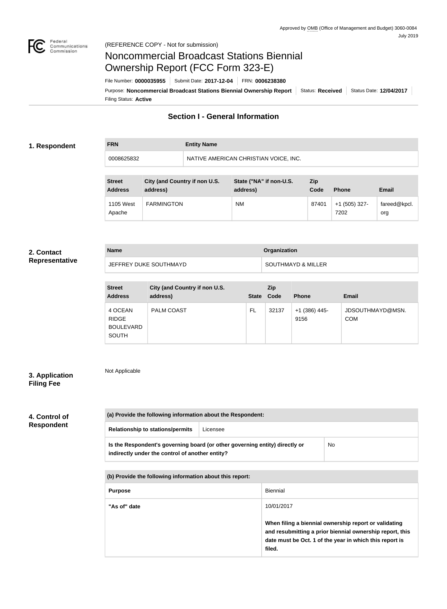

**FRN Entity Name**

# Noncommercial Broadcast Stations Biennial Ownership Report (FCC Form 323-E)

Filing Status: **Active** Purpose: Noncommercial Broadcast Stations Biennial Ownership Report | Status: Received | Status Date: 12/04/2017 File Number: **0000035955** Submit Date: **2017-12-04** FRN: **0006238380**

## **Section I - General Information**

#### **1. Respondent**

0008625832 NATIVE AMERICAN CHRISTIAN VOICE, INC.

| <b>Street</b><br><b>Address</b> | City (and Country if non U.S.<br>address) | State ("NA" if non-U.S.<br>address) | Zip<br>Code | <b>Phone</b>            | <b>Email</b>        |
|---------------------------------|-------------------------------------------|-------------------------------------|-------------|-------------------------|---------------------|
| 1105 West<br>Apache             | <b>FARMINGTON</b>                         | <b>NM</b>                           | 87401       | $+1$ (505) 327-<br>7202 | fareed@kpcl.<br>org |

#### **2. Contact Representative**

| <b>Name</b>            | Organization                  |
|------------------------|-------------------------------|
| JEFFREY DUKE SOUTHMAYD | <b>SOUTHMAYD &amp; MILLER</b> |

| <b>Street</b><br><b>Address</b>                             | City (and Country if non U.S.<br>address) | <b>State</b> | Zip<br>Code | <b>Phone</b>            | <b>Email</b>                   |
|-------------------------------------------------------------|-------------------------------------------|--------------|-------------|-------------------------|--------------------------------|
| 4 OCEAN<br><b>RIDGE</b><br><b>BOULEVARD</b><br><b>SOUTH</b> | <b>PALM COAST</b>                         | FL           | 32137       | $+1$ (386) 445-<br>9156 | JDSOUTHMAYD@MSN.<br><b>COM</b> |

### **3. Application Filing Fee**

Not Applicable

## **4. Control of Respondent**

| (a) Provide the following information about the Respondent:                                                                    |          |    |
|--------------------------------------------------------------------------------------------------------------------------------|----------|----|
| <b>Relationship to stations/permits</b>                                                                                        | Licensee |    |
| Is the Respondent's governing board (or other governing entity) directly or<br>indirectly under the control of another entity? |          | No |

**(b) Provide the following information about this report:**

| <b>Purpose</b> | Biennial                                                                                                                                                                               |
|----------------|----------------------------------------------------------------------------------------------------------------------------------------------------------------------------------------|
| "As of" date   | 10/01/2017                                                                                                                                                                             |
|                | When filing a biennial ownership report or validating<br>and resubmitting a prior biennial ownership report, this<br>date must be Oct. 1 of the year in which this report is<br>filed. |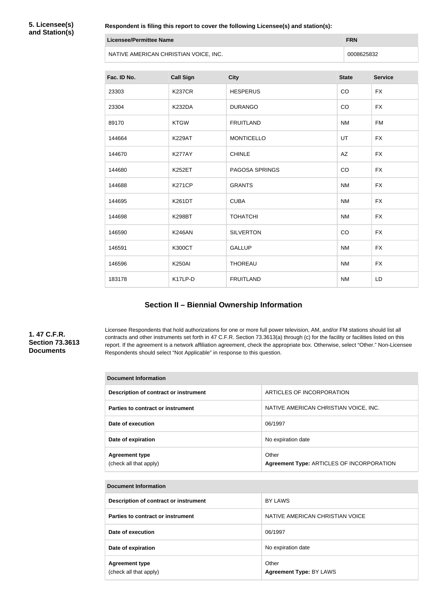**5. Licensee(s) and Station(s)**

| Respondent is filing this report to cover the following Licensee(s) and station(s): |                                       |                       |              |                |
|-------------------------------------------------------------------------------------|---------------------------------------|-----------------------|--------------|----------------|
| <b>Licensee/Permittee Name</b>                                                      |                                       |                       | <b>FRN</b>   |                |
|                                                                                     | NATIVE AMERICAN CHRISTIAN VOICE, INC. |                       | 0008625832   |                |
| Fac. ID No.                                                                         | <b>Call Sign</b>                      | <b>City</b>           | <b>State</b> | <b>Service</b> |
| 23303                                                                               | <b>K237CR</b>                         | <b>HESPERUS</b>       | CO           | <b>FX</b>      |
| 23304                                                                               | <b>K232DA</b>                         | <b>DURANGO</b>        | CO           | <b>FX</b>      |
| 89170                                                                               | <b>KTGW</b>                           | <b>FRUITLAND</b>      | <b>NM</b>    | <b>FM</b>      |
| 144664                                                                              | <b>K229AT</b>                         | <b>MONTICELLO</b>     | UT           | <b>FX</b>      |
| 144670                                                                              | K277AY                                | <b>CHINLE</b>         | AZ           | <b>FX</b>      |
| 144680                                                                              | <b>K252ET</b>                         | <b>PAGOSA SPRINGS</b> | CO           | <b>FX</b>      |
| 144688                                                                              | <b>K271CP</b>                         | <b>GRANTS</b>         | <b>NM</b>    | <b>FX</b>      |

144695 | K261DT | CUBA | NM | FX

144698 K298BT TOHATCHI NM FX

146590 K246AN SILVERTON CO FX

146591 | K300CT | GALLUP | NM | FX

146596 K250AI THOREAU THOREAU NM FX

183178 K17LP-D FRUITLAND NM LD

# **Section II – Biennial Ownership Information**

### **1. 47 C.F.R. Section 73.3613 Documents**

Licensee Respondents that hold authorizations for one or more full power television, AM, and/or FM stations should list all contracts and other instruments set forth in 47 C.F.R. Section 73.3613(a) through (c) for the facility or facilities listed on this report. If the agreement is a network affiliation agreement, check the appropriate box. Otherwise, select "Other." Non-Licensee Respondents should select "Not Applicable" in response to this question.

| Document Information                            |                                                    |  |  |
|-------------------------------------------------|----------------------------------------------------|--|--|
| Description of contract or instrument           | ARTICLES OF INCORPORATION                          |  |  |
| Parties to contract or instrument               | NATIVE AMERICAN CHRISTIAN VOICE, INC.              |  |  |
| Date of execution                               | 06/1997                                            |  |  |
| Date of expiration                              | No expiration date                                 |  |  |
| <b>Agreement type</b><br>(check all that apply) | Other<br>Agreement Type: ARTICLES OF INCORPORATION |  |  |

| <b>Document Information</b>                     |                                         |  |
|-------------------------------------------------|-----------------------------------------|--|
| Description of contract or instrument           | <b>BY LAWS</b>                          |  |
| Parties to contract or instrument               | NATIVE AMERICAN CHRISTIAN VOICE         |  |
| Date of execution                               | 06/1997                                 |  |
| Date of expiration                              | No expiration date                      |  |
| <b>Agreement type</b><br>(check all that apply) | Other<br><b>Agreement Type: BY LAWS</b> |  |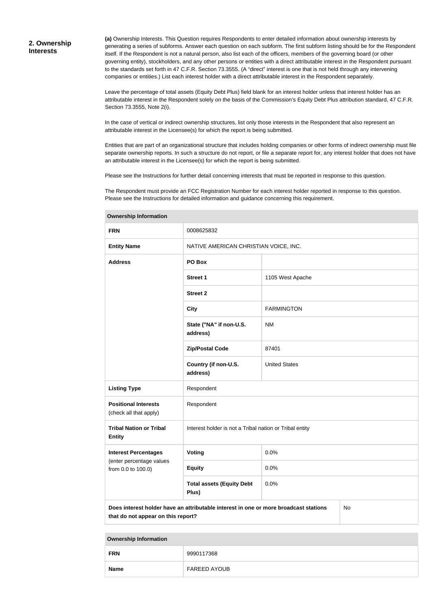**(a)** Ownership Interests. This Question requires Respondents to enter detailed information about ownership interests by generating a series of subforms. Answer each question on each subform. The first subform listing should be for the Respondent itself. If the Respondent is not a natural person, also list each of the officers, members of the governing board (or other governing entity), stockholders, and any other persons or entities with a direct attributable interest in the Respondent pursuant to the standards set forth in 47 C.F.R. Section 73.3555. (A "direct" interest is one that is not held through any intervening companies or entities.) List each interest holder with a direct attributable interest in the Respondent separately.

Leave the percentage of total assets (Equity Debt Plus) field blank for an interest holder unless that interest holder has an attributable interest in the Respondent solely on the basis of the Commission's Equity Debt Plus attribution standard, 47 C.F.R. Section 73.3555, Note 2(i).

In the case of vertical or indirect ownership structures, list only those interests in the Respondent that also represent an attributable interest in the Licensee(s) for which the report is being submitted.

Entities that are part of an organizational structure that includes holding companies or other forms of indirect ownership must file separate ownership reports. In such a structure do not report, or file a separate report for, any interest holder that does not have an attributable interest in the Licensee(s) for which the report is being submitted.

Please see the Instructions for further detail concerning interests that must be reported in response to this question.

The Respondent must provide an FCC Registration Number for each interest holder reported in response to this question. Please see the Instructions for detailed information and guidance concerning this requirement.

| <b>FRN</b>                                                                                                                       | 0008625832                                              |                      |  |  |
|----------------------------------------------------------------------------------------------------------------------------------|---------------------------------------------------------|----------------------|--|--|
| <b>Entity Name</b>                                                                                                               | NATIVE AMERICAN CHRISTIAN VOICE, INC.                   |                      |  |  |
| <b>Address</b>                                                                                                                   | PO Box                                                  |                      |  |  |
|                                                                                                                                  | <b>Street 1</b>                                         | 1105 West Apache     |  |  |
|                                                                                                                                  | <b>Street 2</b>                                         |                      |  |  |
|                                                                                                                                  | <b>City</b>                                             | <b>FARMINGTON</b>    |  |  |
|                                                                                                                                  | State ("NA" if non-U.S.<br>address)                     | <b>NM</b>            |  |  |
|                                                                                                                                  | <b>Zip/Postal Code</b>                                  | 87401                |  |  |
|                                                                                                                                  | Country (if non-U.S.<br>address)                        | <b>United States</b> |  |  |
| <b>Listing Type</b>                                                                                                              | Respondent                                              |                      |  |  |
| <b>Positional Interests</b><br>(check all that apply)                                                                            | Respondent                                              |                      |  |  |
| <b>Tribal Nation or Tribal</b><br><b>Entity</b>                                                                                  | Interest holder is not a Tribal nation or Tribal entity |                      |  |  |
| <b>Interest Percentages</b>                                                                                                      | Voting                                                  | 0.0%                 |  |  |
| (enter percentage values<br>from 0.0 to 100.0)                                                                                   | <b>Equity</b>                                           | 0.0%                 |  |  |
|                                                                                                                                  | <b>Total assets (Equity Debt</b><br>Plus)               | 0.0%                 |  |  |
| Does interest holder have an attributable interest in one or more broadcast stations<br>No<br>that do not appear on this report? |                                                         |                      |  |  |

**Ownership Information**

**Ownership Information**

| _____       |                     |
|-------------|---------------------|
| <b>FRN</b>  | 9990117368          |
| <b>Name</b> | <b>FAREED AYOUB</b> |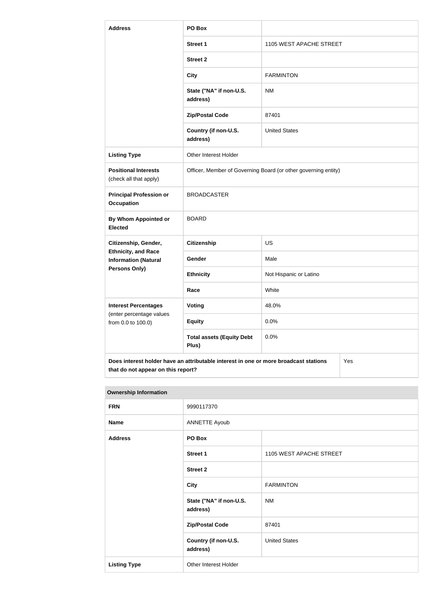| <b>Address</b>                                                                                                                    | PO Box                                                         |                         |  |  |
|-----------------------------------------------------------------------------------------------------------------------------------|----------------------------------------------------------------|-------------------------|--|--|
|                                                                                                                                   | <b>Street 1</b>                                                | 1105 WEST APACHE STREET |  |  |
|                                                                                                                                   | <b>Street 2</b>                                                |                         |  |  |
|                                                                                                                                   | <b>City</b>                                                    | <b>FARMINTON</b>        |  |  |
|                                                                                                                                   | State ("NA" if non-U.S.<br>address)                            | <b>NM</b>               |  |  |
|                                                                                                                                   | <b>Zip/Postal Code</b>                                         | 87401                   |  |  |
|                                                                                                                                   | Country (if non-U.S.<br>address)                               | <b>United States</b>    |  |  |
| <b>Listing Type</b>                                                                                                               | Other Interest Holder                                          |                         |  |  |
| <b>Positional Interests</b><br>(check all that apply)                                                                             | Officer, Member of Governing Board (or other governing entity) |                         |  |  |
| <b>Principal Profession or</b><br><b>Occupation</b>                                                                               | <b>BROADCASTER</b>                                             |                         |  |  |
| <b>By Whom Appointed or</b><br><b>Elected</b>                                                                                     | <b>BOARD</b>                                                   |                         |  |  |
| Citizenship, Gender,                                                                                                              | <b>Citizenship</b>                                             | <b>US</b>               |  |  |
| <b>Ethnicity, and Race</b><br><b>Information (Natural</b>                                                                         | Gender                                                         | Male                    |  |  |
| <b>Persons Only)</b>                                                                                                              | <b>Ethnicity</b>                                               | Not Hispanic or Latino  |  |  |
|                                                                                                                                   | Race                                                           | White                   |  |  |
| <b>Interest Percentages</b><br>(enter percentage values                                                                           | Voting                                                         | 48.0%                   |  |  |
| from 0.0 to 100.0)                                                                                                                | <b>Equity</b>                                                  | 0.0%                    |  |  |
|                                                                                                                                   | <b>Total assets (Equity Debt</b><br>Plus)                      | 0.0%                    |  |  |
| Does interest holder have an attributable interest in one or more broadcast stations<br>Yes<br>that do not appear on this report? |                                                                |                         |  |  |

| <b>Ownership Information</b> |                                     |                         |  |  |
|------------------------------|-------------------------------------|-------------------------|--|--|
| <b>FRN</b>                   | 9990117370                          |                         |  |  |
| <b>Name</b>                  | <b>ANNETTE Ayoub</b>                |                         |  |  |
| <b>Address</b>               | PO Box                              |                         |  |  |
|                              | <b>Street 1</b>                     | 1105 WEST APACHE STREET |  |  |
|                              | <b>Street 2</b>                     |                         |  |  |
|                              | <b>City</b>                         | <b>FARMINTON</b>        |  |  |
|                              | State ("NA" if non-U.S.<br>address) | <b>NM</b>               |  |  |
|                              | <b>Zip/Postal Code</b>              | 87401                   |  |  |
|                              | Country (if non-U.S.<br>address)    | <b>United States</b>    |  |  |
| <b>Listing Type</b>          | Other Interest Holder               |                         |  |  |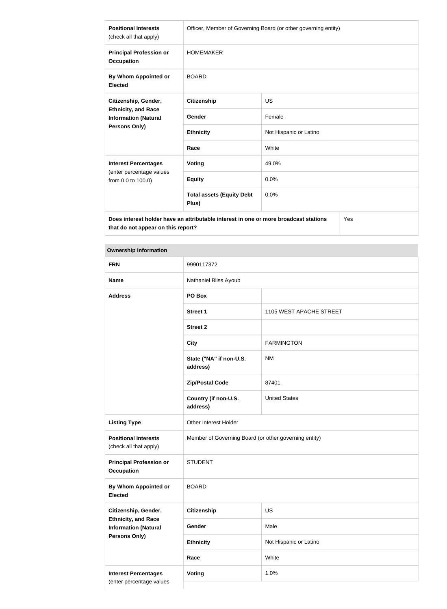| <b>Positional Interests</b><br>(check all that apply)                                                     | Officer, Member of Governing Board (or other governing entity) |                        |  |
|-----------------------------------------------------------------------------------------------------------|----------------------------------------------------------------|------------------------|--|
| <b>Principal Profession or</b><br><b>Occupation</b>                                                       | <b>HOMEMAKER</b>                                               |                        |  |
| By Whom Appointed or<br><b>Elected</b>                                                                    | <b>BOARD</b>                                                   |                        |  |
| Citizenship, Gender,<br><b>Ethnicity, and Race</b><br><b>Information (Natural</b><br><b>Persons Only)</b> | <b>Citizenship</b>                                             | <b>US</b>              |  |
|                                                                                                           | Gender                                                         | Female                 |  |
|                                                                                                           | <b>Ethnicity</b>                                               | Not Hispanic or Latino |  |
|                                                                                                           | Race                                                           | White                  |  |
| <b>Interest Percentages</b><br>(enter percentage values<br>from 0.0 to 100.0)                             | Voting                                                         | 49.0%                  |  |
|                                                                                                           | <b>Equity</b>                                                  | 0.0%                   |  |
|                                                                                                           | <b>Total assets (Equity Debt</b><br>Plus)                      | 0.0%                   |  |
| Does interest holder have an attributable interest in one or more broadcast stations<br>Yes               |                                                                |                        |  |

**Does interest holder have an attributable interest in one or more broadcast stations that do not appear on this report?**

## **Ownership Information**

| <b>FRN</b>                                                                                                | 9990117372                                            |                         |  |
|-----------------------------------------------------------------------------------------------------------|-------------------------------------------------------|-------------------------|--|
| <b>Name</b>                                                                                               | Nathaniel Bliss Ayoub                                 |                         |  |
| <b>Address</b>                                                                                            | PO Box                                                |                         |  |
|                                                                                                           | <b>Street 1</b>                                       | 1105 WEST APACHE STREET |  |
|                                                                                                           | <b>Street 2</b>                                       |                         |  |
|                                                                                                           | <b>City</b>                                           | <b>FARMINGTON</b>       |  |
|                                                                                                           | State ("NA" if non-U.S.<br>address)                   | <b>NM</b>               |  |
|                                                                                                           | <b>Zip/Postal Code</b>                                | 87401                   |  |
|                                                                                                           | Country (if non-U.S.<br>address)                      | <b>United States</b>    |  |
| <b>Listing Type</b>                                                                                       | Other Interest Holder                                 |                         |  |
| <b>Positional Interests</b><br>(check all that apply)                                                     | Member of Governing Board (or other governing entity) |                         |  |
| <b>Principal Profession or</b><br><b>Occupation</b>                                                       | <b>STUDENT</b>                                        |                         |  |
| By Whom Appointed or<br><b>Elected</b>                                                                    | <b>BOARD</b>                                          |                         |  |
| Citizenship, Gender,<br><b>Ethnicity, and Race</b><br><b>Information (Natural</b><br><b>Persons Only)</b> | Citizenship                                           | US                      |  |
|                                                                                                           | Gender                                                | Male                    |  |
|                                                                                                           | <b>Ethnicity</b>                                      | Not Hispanic or Latino  |  |
|                                                                                                           | Race                                                  | White                   |  |
| <b>Interest Percentages</b>                                                                               | <b>Voting</b>                                         | 1.0%                    |  |
| (enter percentage values                                                                                  |                                                       |                         |  |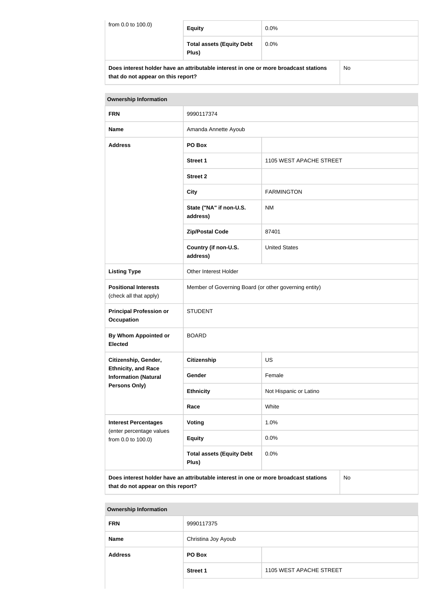| from 0.0 to 100.0) | <b>Equity</b>                                                                        | $0.0\%$ |    |
|--------------------|--------------------------------------------------------------------------------------|---------|----|
|                    | <b>Total assets (Equity Debt</b><br>Plus)                                            | $0.0\%$ |    |
|                    | Does interest holder have an attributable interest in one or more broadcast stations |         | No |

| that do not appear on this report? |  |  |
|------------------------------------|--|--|

| <b>Ownership Information</b>                                                                                                     |                                                       |                         |  |  |
|----------------------------------------------------------------------------------------------------------------------------------|-------------------------------------------------------|-------------------------|--|--|
| <b>FRN</b>                                                                                                                       | 9990117374                                            |                         |  |  |
| <b>Name</b>                                                                                                                      | Amanda Annette Ayoub                                  |                         |  |  |
| <b>Address</b>                                                                                                                   | PO Box                                                |                         |  |  |
|                                                                                                                                  | <b>Street 1</b>                                       | 1105 WEST APACHE STREET |  |  |
|                                                                                                                                  | <b>Street 2</b>                                       |                         |  |  |
|                                                                                                                                  | <b>City</b>                                           | <b>FARMINGTON</b>       |  |  |
|                                                                                                                                  | State ("NA" if non-U.S.<br>address)                   | <b>NM</b>               |  |  |
|                                                                                                                                  | <b>Zip/Postal Code</b>                                | 87401                   |  |  |
|                                                                                                                                  | Country (if non-U.S.<br>address)                      | <b>United States</b>    |  |  |
| <b>Listing Type</b>                                                                                                              | Other Interest Holder                                 |                         |  |  |
| <b>Positional Interests</b><br>(check all that apply)                                                                            | Member of Governing Board (or other governing entity) |                         |  |  |
| <b>Principal Profession or</b><br><b>Occupation</b>                                                                              | <b>STUDENT</b>                                        |                         |  |  |
| By Whom Appointed or<br><b>Elected</b>                                                                                           | <b>BOARD</b>                                          |                         |  |  |
| Citizenship, Gender,                                                                                                             | <b>Citizenship</b>                                    | <b>US</b>               |  |  |
| <b>Ethnicity, and Race</b><br><b>Information (Natural</b>                                                                        | Gender                                                | Female                  |  |  |
| <b>Persons Only)</b>                                                                                                             | <b>Ethnicity</b>                                      | Not Hispanic or Latino  |  |  |
|                                                                                                                                  | Race                                                  | White                   |  |  |
| <b>Interest Percentages</b><br>(enter percentage values<br>from 0.0 to 100.0)                                                    | <b>Voting</b>                                         | 1.0%                    |  |  |
|                                                                                                                                  | <b>Equity</b>                                         | 0.0%                    |  |  |
|                                                                                                                                  | <b>Total assets (Equity Debt</b><br>Plus)             | 0.0%                    |  |  |
| Does interest holder have an attributable interest in one or more broadcast stations<br>No<br>that do not appear on this report? |                                                       |                         |  |  |

| <b>Ownership Information</b> |                     |                         |  |  |
|------------------------------|---------------------|-------------------------|--|--|
| <b>FRN</b>                   | 9990117375          |                         |  |  |
| <b>Name</b>                  | Christina Joy Ayoub |                         |  |  |
| <b>Address</b>               | PO Box              |                         |  |  |
|                              | <b>Street 1</b>     | 1105 WEST APACHE STREET |  |  |
|                              |                     |                         |  |  |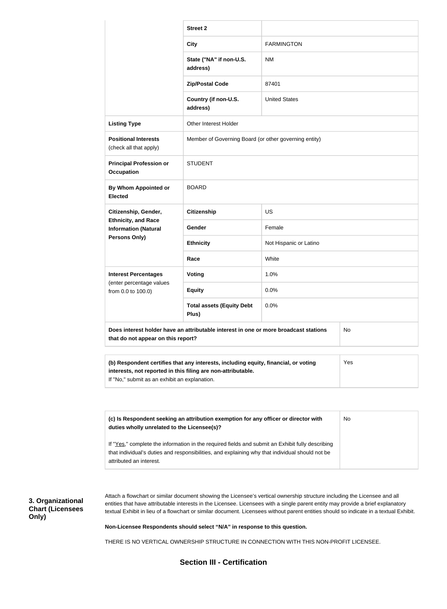|                                                           | <b>Street 2</b>                                                                                                                                                                                     |                        |           |  |
|-----------------------------------------------------------|-----------------------------------------------------------------------------------------------------------------------------------------------------------------------------------------------------|------------------------|-----------|--|
|                                                           | <b>City</b>                                                                                                                                                                                         | <b>FARMINGTON</b>      |           |  |
|                                                           | State ("NA" if non-U.S.<br>address)                                                                                                                                                                 | <b>NM</b>              |           |  |
|                                                           | <b>Zip/Postal Code</b>                                                                                                                                                                              | 87401                  |           |  |
|                                                           | Country (if non-U.S.<br>address)                                                                                                                                                                    | <b>United States</b>   |           |  |
| <b>Listing Type</b>                                       | Other Interest Holder                                                                                                                                                                               |                        |           |  |
| <b>Positional Interests</b><br>(check all that apply)     | Member of Governing Board (or other governing entity)                                                                                                                                               |                        |           |  |
| <b>Principal Profession or</b><br><b>Occupation</b>       | <b>STUDENT</b>                                                                                                                                                                                      |                        |           |  |
| By Whom Appointed or<br><b>Elected</b>                    | <b>BOARD</b>                                                                                                                                                                                        |                        |           |  |
| Citizenship, Gender,                                      | <b>Citizenship</b>                                                                                                                                                                                  | <b>US</b>              |           |  |
| <b>Ethnicity, and Race</b><br><b>Information (Natural</b> | Gender                                                                                                                                                                                              | Female                 |           |  |
| Persons Only)                                             | <b>Ethnicity</b>                                                                                                                                                                                    | Not Hispanic or Latino |           |  |
|                                                           | Race                                                                                                                                                                                                | White                  |           |  |
| <b>Interest Percentages</b><br>(enter percentage values   | <b>Voting</b>                                                                                                                                                                                       | 1.0%                   |           |  |
| from 0.0 to 100.0)                                        | <b>Equity</b>                                                                                                                                                                                       | 0.0%                   |           |  |
|                                                           | <b>Total assets (Equity Debt</b><br>Plus)                                                                                                                                                           | 0.0%                   |           |  |
| that do not appear on this report?                        | Does interest holder have an attributable interest in one or more broadcast stations                                                                                                                |                        | <b>No</b> |  |
| If "No," submit as an exhibit an explanation.             | (b) Respondent certifies that any interests, including equity, financial, or voting<br>interests, not reported in this filing are non-attributable.                                                 |                        | Yes       |  |
|                                                           |                                                                                                                                                                                                     |                        |           |  |
| duties wholly unrelated to the Licensee(s)?               | (c) Is Respondent seeking an attribution exemption for any officer or director with                                                                                                                 |                        | No        |  |
| attributed an interest.                                   | If "Yes," complete the information in the required fields and submit an Exhibit fully describing<br>that individual's duties and responsibilities, and explaining why that individual should not be |                        |           |  |

**3. Organizational Chart (Licensees Only)**

Attach a flowchart or similar document showing the Licensee's vertical ownership structure including the Licensee and all entities that have attributable interests in the Licensee. Licensees with a single parent entity may provide a brief explanatory textual Exhibit in lieu of a flowchart or similar document. Licensees without parent entities should so indicate in a textual Exhibit.

**Non-Licensee Respondents should select "N/A" in response to this question.**

THERE IS NO VERTICAL OWNERSHIP STRUCTURE IN CONNECTION WITH THIS NON-PROFIT LICENSEE.

**Section III - Certification**